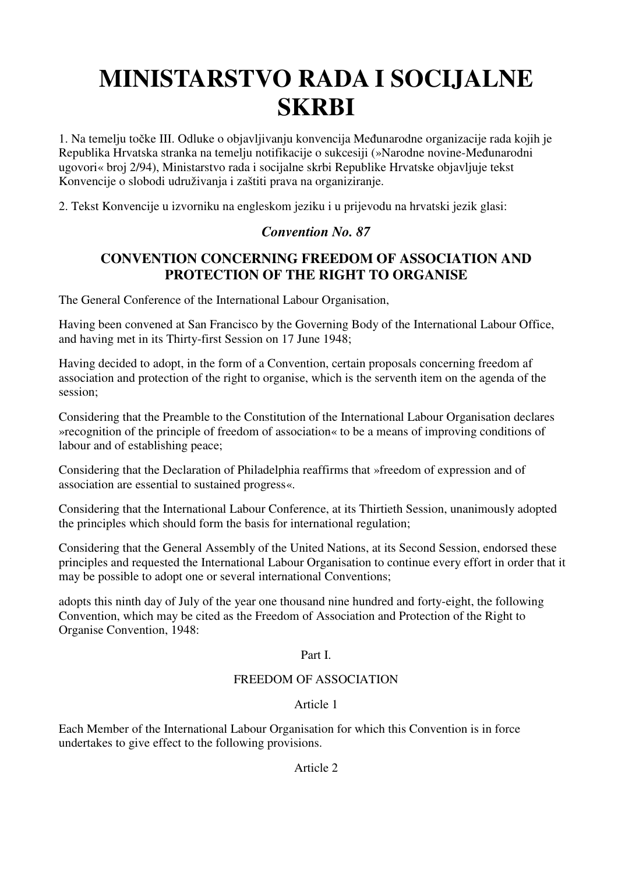# **MINISTARSTVO RADA I SOCIJALNE SKRBI**

1. Na temelju točke III. Odluke o objavljivanju konvencija Međunarodne organizacije rada kojih je Republika Hrvatska stranka na temelju notifikacije o sukcesiji (»Narodne novine-Međunarodni ugovori« broj 2/94), Ministarstvo rada i socijalne skrbi Republike Hrvatske objavljuje tekst Konvencije o slobodi udruživanja i zaštiti prava na organiziranje.

2. Tekst Konvencije u izvorniku na engleskom jeziku i u prijevodu na hrvatski jezik glasi:

# *Convention No. 87*

# **CONVENTION CONCERNING FREEDOM OF ASSOCIATION AND PROTECTION OF THE RIGHT TO ORGANISE**

The General Conference of the International Labour Organisation,

Having been convened at San Francisco by the Governing Body of the International Labour Office, and having met in its Thirty-first Session on 17 June 1948;

Having decided to adopt, in the form of a Convention, certain proposals concerning freedom af association and protection of the right to organise, which is the serventh item on the agenda of the session;

Considering that the Preamble to the Constitution of the International Labour Organisation declares »recognition of the principle of freedom of association« to be a means of improving conditions of labour and of establishing peace;

Considering that the Declaration of Philadelphia reaffirms that »freedom of expression and of association are essential to sustained progress«.

Considering that the International Labour Conference, at its Thirtieth Session, unanimously adopted the principles which should form the basis for international regulation;

Considering that the General Assembly of the United Nations, at its Second Session, endorsed these principles and requested the International Labour Organisation to continue every effort in order that it may be possible to adopt one or several international Conventions;

adopts this ninth day of July of the year one thousand nine hundred and forty-eight, the following Convention, which may be cited as the Freedom of Association and Protection of the Right to Organise Convention, 1948:

## Part I.

## FREEDOM OF ASSOCIATION

## Article 1

Each Member of the International Labour Organisation for which this Convention is in force undertakes to give effect to the following provisions.

#### Article 2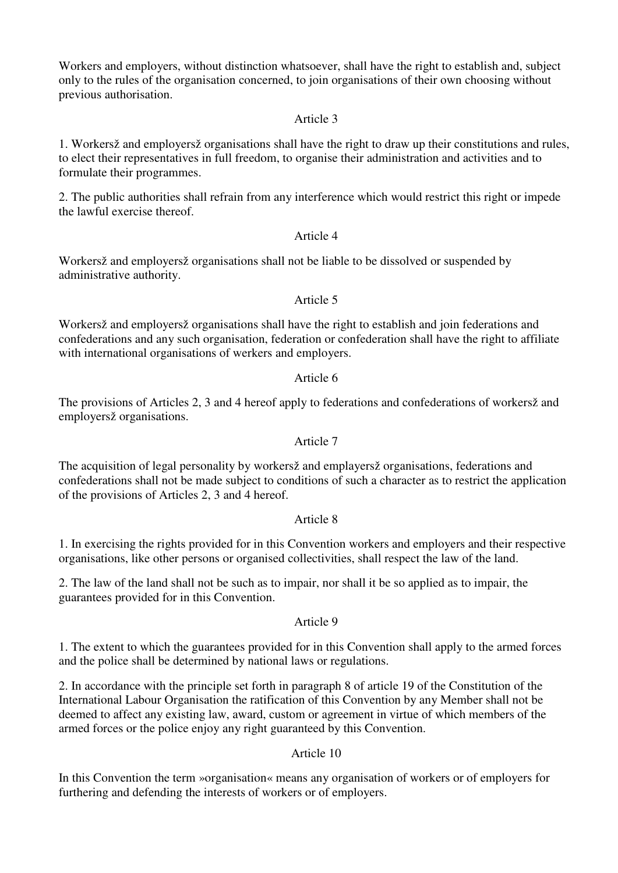Workers and employers, without distinction whatsoever, shall have the right to establish and, subject only to the rules of the organisation concerned, to join organisations of their own choosing without previous authorisation.

#### Article 3

1. Workersž and employersž organisations shall have the right to draw up their constitutions and rules, to elect their representatives in full freedom, to organise their administration and activities and to formulate their programmes.

2. The public authorities shall refrain from any interference which would restrict this right or impede the lawful exercise thereof.

#### Article 4

Workersž and employersž organisations shall not be liable to be dissolved or suspended by administrative authority.

#### Article 5

Workersž and employersž organisations shall have the right to establish and join federations and confederations and any such organisation, federation or confederation shall have the right to affiliate with international organisations of werkers and employers.

#### Article 6

The provisions of Articles 2, 3 and 4 hereof apply to federations and confederations of workersž and employersž organisations.

#### Article 7

The acquisition of legal personality by workersž and emplayersž organisations, federations and confederations shall not be made subject to conditions of such a character as to restrict the application of the provisions of Articles 2, 3 and 4 hereof.

#### Article 8

1. In exercising the rights provided for in this Convention workers and employers and their respective organisations, like other persons or organised collectivities, shall respect the law of the land.

2. The law of the land shall not be such as to impair, nor shall it be so applied as to impair, the guarantees provided for in this Convention.

#### Article 9

1. The extent to which the guarantees provided for in this Convention shall apply to the armed forces and the police shall be determined by national laws or regulations.

2. In accordance with the principle set forth in paragraph 8 of article 19 of the Constitution of the International Labour Organisation the ratification of this Convention by any Member shall not be deemed to affect any existing law, award, custom or agreement in virtue of which members of the armed forces or the police enjoy any right guaranteed by this Convention.

#### Article 10

In this Convention the term »organisation« means any organisation of workers or of employers for furthering and defending the interests of workers or of employers.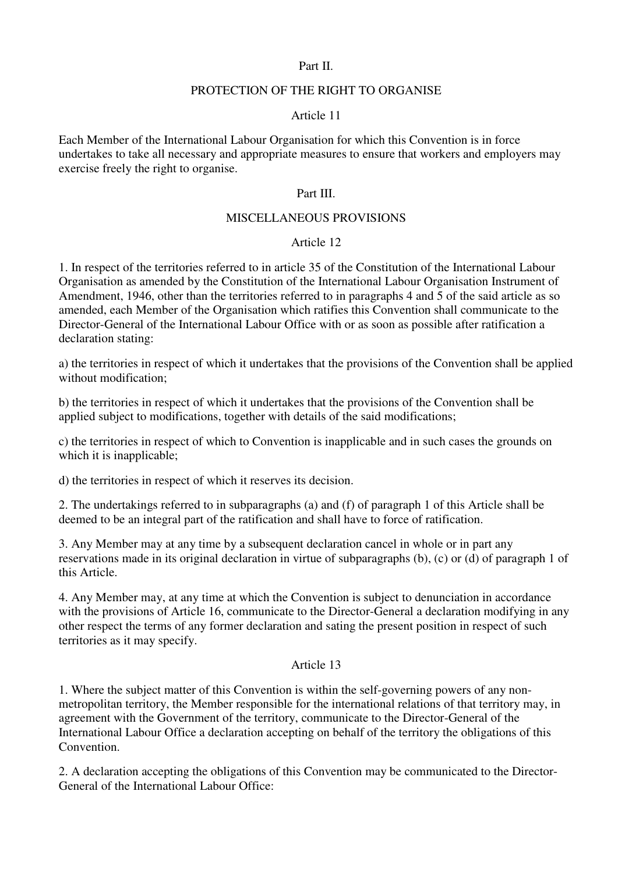#### Part II.

#### PROTECTION OF THE RIGHT TO ORGANISE

#### Article 11

Each Member of the International Labour Organisation for which this Convention is in force undertakes to take all necessary and appropriate measures to ensure that workers and employers may exercise freely the right to organise.

#### Part III.

#### MISCELLANEOUS PROVISIONS

#### Article 12

1. In respect of the territories referred to in article 35 of the Constitution of the International Labour Organisation as amended by the Constitution of the International Labour Organisation Instrument of Amendment, 1946, other than the territories referred to in paragraphs 4 and 5 of the said article as so amended, each Member of the Organisation which ratifies this Convention shall communicate to the Director-General of the International Labour Office with or as soon as possible after ratification a declaration stating:

a) the territories in respect of which it undertakes that the provisions of the Convention shall be applied without modification;

b) the territories in respect of which it undertakes that the provisions of the Convention shall be applied subject to modifications, together with details of the said modifications;

c) the territories in respect of which to Convention is inapplicable and in such cases the grounds on which it is inapplicable;

d) the territories in respect of which it reserves its decision.

2. The undertakings referred to in subparagraphs (a) and (f) of paragraph 1 of this Article shall be deemed to be an integral part of the ratification and shall have to force of ratification.

3. Any Member may at any time by a subsequent declaration cancel in whole or in part any reservations made in its original declaration in virtue of subparagraphs (b), (c) or (d) of paragraph 1 of this Article.

4. Any Member may, at any time at which the Convention is subject to denunciation in accordance with the provisions of Article 16, communicate to the Director-General a declaration modifying in any other respect the terms of any former declaration and sating the present position in respect of such territories as it may specify.

#### Article 13

1. Where the subject matter of this Convention is within the self-governing powers of any nonmetropolitan territory, the Member responsible for the international relations of that territory may, in agreement with the Government of the territory, communicate to the Director-General of the International Labour Office a declaration accepting on behalf of the territory the obligations of this Convention.

2. A declaration accepting the obligations of this Convention may be communicated to the Director-General of the International Labour Office: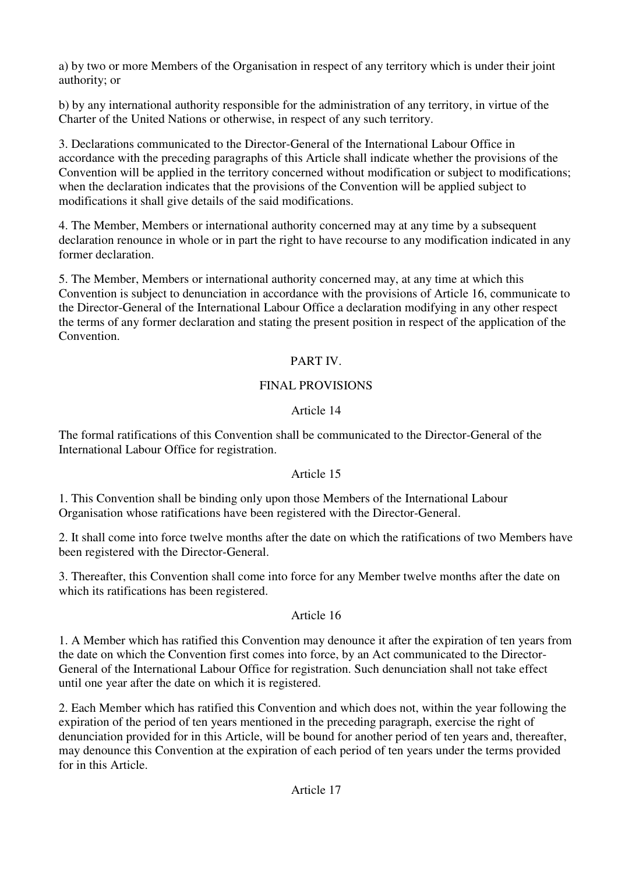a) by two or more Members of the Organisation in respect of any territory which is under their joint authority; or

b) by any international authority responsible for the administration of any territory, in virtue of the Charter of the United Nations or otherwise, in respect of any such territory.

3. Declarations communicated to the Director-General of the International Labour Office in accordance with the preceding paragraphs of this Article shall indicate whether the provisions of the Convention will be applied in the territory concerned without modification or subject to modifications; when the declaration indicates that the provisions of the Convention will be applied subject to modifications it shall give details of the said modifications.

4. The Member, Members or international authority concerned may at any time by a subsequent declaration renounce in whole or in part the right to have recourse to any modification indicated in any former declaration.

5. The Member, Members or international authority concerned may, at any time at which this Convention is subject to denunciation in accordance with the provisions of Article 16, communicate to the Director-General of the International Labour Office a declaration modifying in any other respect the terms of any former declaration and stating the present position in respect of the application of the Convention.

## PART IV.

## FINAL PROVISIONS

## Article 14

The formal ratifications of this Convention shall be communicated to the Director-General of the International Labour Office for registration.

## Article 15

1. This Convention shall be binding only upon those Members of the International Labour Organisation whose ratifications have been registered with the Director-General.

2. It shall come into force twelve months after the date on which the ratifications of two Members have been registered with the Director-General.

3. Thereafter, this Convention shall come into force for any Member twelve months after the date on which its ratifications has been registered.

## Article 16

1. A Member which has ratified this Convention may denounce it after the expiration of ten years from the date on which the Convention first comes into force, by an Act communicated to the Director-General of the International Labour Office for registration. Such denunciation shall not take effect until one year after the date on which it is registered.

2. Each Member which has ratified this Convention and which does not, within the year following the expiration of the period of ten years mentioned in the preceding paragraph, exercise the right of denunciation provided for in this Article, will be bound for another period of ten years and, thereafter, may denounce this Convention at the expiration of each period of ten years under the terms provided for in this Article.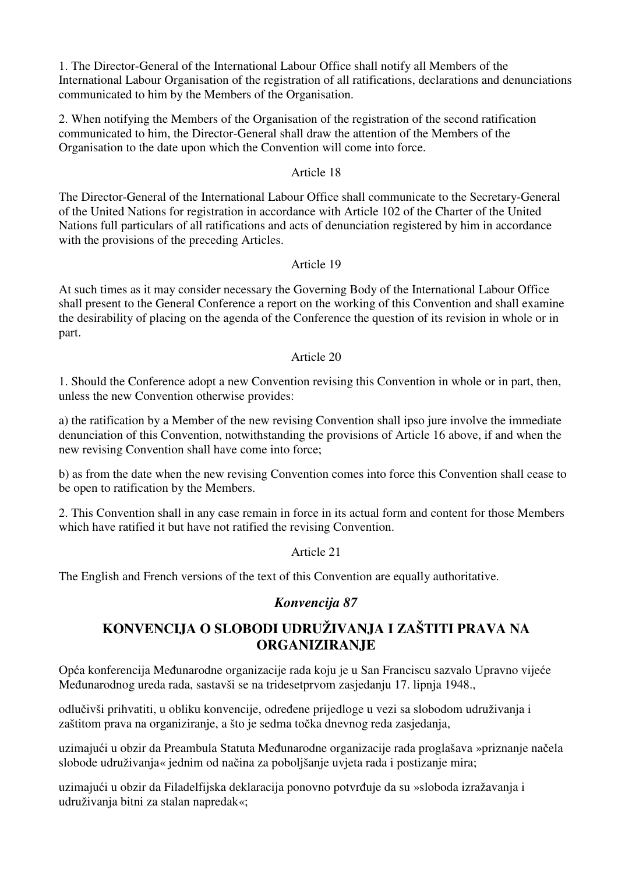1. The Director-General of the International Labour Office shall notify all Members of the International Labour Organisation of the registration of all ratifications, declarations and denunciations communicated to him by the Members of the Organisation.

2. When notifying the Members of the Organisation of the registration of the second ratification communicated to him, the Director-General shall draw the attention of the Members of the Organisation to the date upon which the Convention will come into force.

#### Article 18

The Director-General of the International Labour Office shall communicate to the Secretary-General of the United Nations for registration in accordance with Article 102 of the Charter of the United Nations full particulars of all ratifications and acts of denunciation registered by him in accordance with the provisions of the preceding Articles.

#### Article 19

At such times as it may consider necessary the Governing Body of the International Labour Office shall present to the General Conference a report on the working of this Convention and shall examine the desirability of placing on the agenda of the Conference the question of its revision in whole or in part.

#### Article 20

1. Should the Conference adopt a new Convention revising this Convention in whole or in part, then, unless the new Convention otherwise provides:

a) the ratification by a Member of the new revising Convention shall ipso jure involve the immediate denunciation of this Convention, notwithstanding the provisions of Article 16 above, if and when the new revising Convention shall have come into force;

b) as from the date when the new revising Convention comes into force this Convention shall cease to be open to ratification by the Members.

2. This Convention shall in any case remain in force in its actual form and content for those Members which have ratified it but have not ratified the revising Convention.

Article 21

The English and French versions of the text of this Convention are equally authoritative.

# *Konvencija 87*

# **KONVENCIJA O SLOBODI UDRUŽIVANJA I ZAŠTITI PRAVA NA ORGANIZIRANJE**

Opća konferencija Međunarodne organizacije rada koju je u San Franciscu sazvalo Upravno vijeće Međunarodnog ureda rada, sastavši se na tridesetprvom zasjedanju 17. lipnja 1948.,

odlučivši prihvatiti, u obliku konvencije, određene prijedloge u vezi sa slobodom udruživanja i zaštitom prava na organiziranje, a što je sedma točka dnevnog reda zasjedanja,

uzimajući u obzir da Preambula Statuta Međunarodne organizacije rada proglašava »priznanje načela slobode udruživanja« jednim od načina za poboljšanje uvjeta rada i postizanje mira;

uzimajući u obzir da Filadelfijska deklaracija ponovno potvrđuje da su »sloboda izražavanja i udruživanja bitni za stalan napredak«;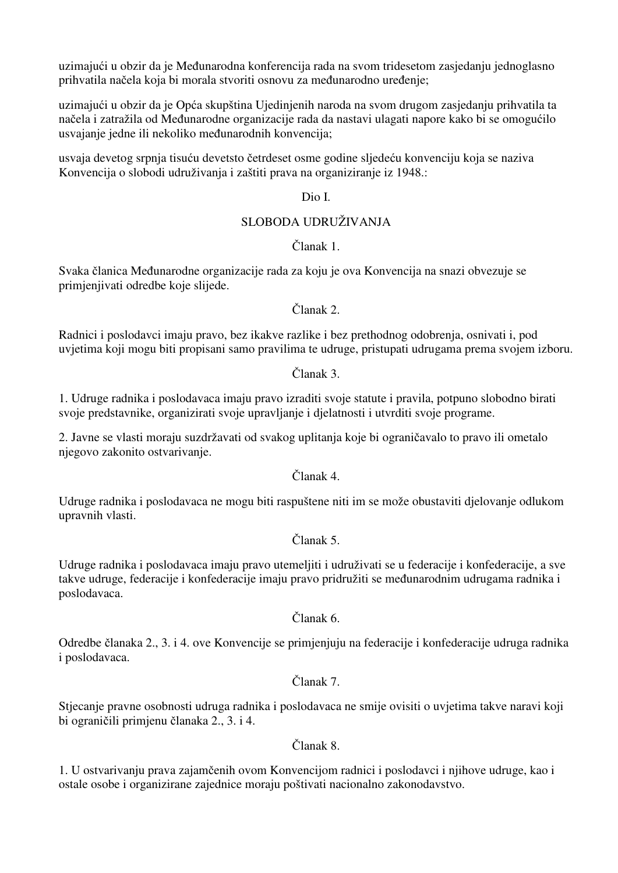uzimajući u obzir da je Međunarodna konferencija rada na svom tridesetom zasjedanju jednoglasno prihvatila načela koja bi morala stvoriti osnovu za međunarodno uređenje;

uzimajući u obzir da je Opća skupština Ujedinjenih naroda na svom drugom zasjedanju prihvatila ta načela i zatražila od Međunarodne organizacije rada da nastavi ulagati napore kako bi se omogućilo usvajanje jedne ili nekoliko međunarodnih konvencija;

usvaja devetog srpnja tisuću devetsto četrdeset osme godine sljedeću konvenciju koja se naziva Konvencija o slobodi udruživanja i zaštiti prava na organiziranje iz 1948.:

Dio I.

## SLOBODA UDRUŽIVANJA

#### Članak 1.

Svaka članica Međunarodne organizacije rada za koju je ova Konvencija na snazi obvezuje se primjenjivati odredbe koje slijede.

Članak 2.

Radnici i poslodavci imaju pravo, bez ikakve razlike i bez prethodnog odobrenja, osnivati i, pod uvjetima koji mogu biti propisani samo pravilima te udruge, pristupati udrugama prema svojem izboru.

Članak 3.

1. Udruge radnika i poslodavaca imaju pravo izraditi svoje statute i pravila, potpuno slobodno birati svoje predstavnike, organizirati svoje upravljanje i djelatnosti i utvrditi svoje programe.

2. Javne se vlasti moraju suzdržavati od svakog uplitanja koje bi ograničavalo to pravo ili ometalo njegovo zakonito ostvarivanje.

Članak 4.

Udruge radnika i poslodavaca ne mogu biti raspuštene niti im se može obustaviti djelovanje odlukom upravnih vlasti.

Članak 5.

Udruge radnika i poslodavaca imaju pravo utemeljiti i udruživati se u federacije i konfederacije, a sve takve udruge, federacije i konfederacije imaju pravo pridružiti se međunarodnim udrugama radnika i poslodavaca.

Članak 6.

Odredbe članaka 2., 3. i 4. ove Konvencije se primjenjuju na federacije i konfederacije udruga radnika i poslodavaca.

#### Članak 7.

Stjecanje pravne osobnosti udruga radnika i poslodavaca ne smije ovisiti o uvjetima takve naravi koji bi ograničili primjenu članaka 2., 3. i 4.

Članak 8.

1. U ostvarivanju prava zajamčenih ovom Konvencijom radnici i poslodavci i njihove udruge, kao i ostale osobe i organizirane zajednice moraju poštivati nacionalno zakonodavstvo.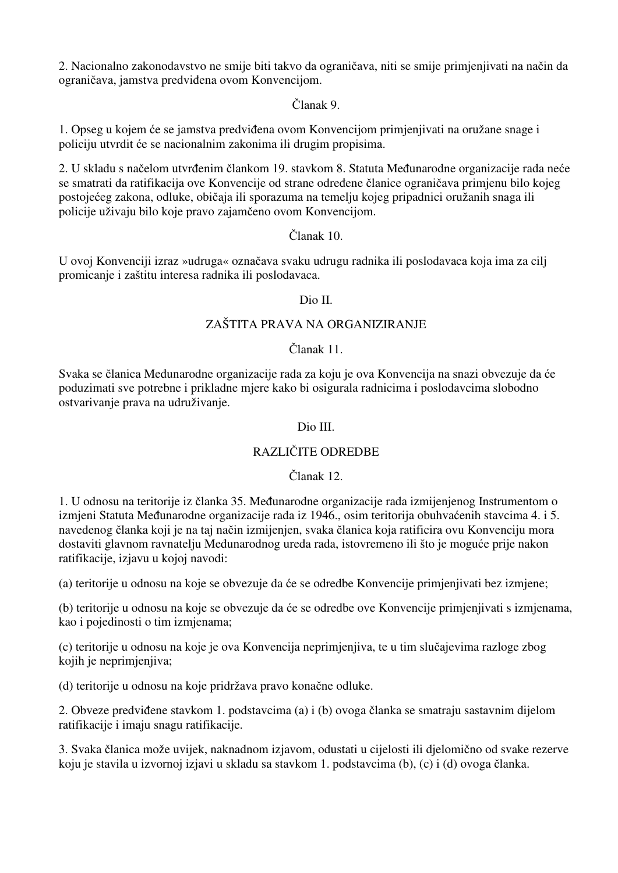2. Nacionalno zakonodavstvo ne smije biti takvo da ograničava, niti se smije primjenjivati na način da ograničava, jamstva predviđena ovom Konvencijom.

Članak 9.

1. Opseg u kojem će se jamstva predviđena ovom Konvencijom primjenjivati na oružane snage i policiju utvrdit će se nacionalnim zakonima ili drugim propisima.

2. U skladu s načelom utvrđenim člankom 19. stavkom 8. Statuta Međunarodne organizacije rada neće se smatrati da ratifikacija ove Konvencije od strane određene članice ograničava primjenu bilo kojeg postojećeg zakona, odluke, običaja ili sporazuma na temelju kojeg pripadnici oružanih snaga ili policije uživaju bilo koje pravo zajamčeno ovom Konvencijom.

## Članak 10.

U ovoj Konvenciji izraz »udruga« označava svaku udrugu radnika ili poslodavaca koja ima za cilj promicanje i zaštitu interesa radnika ili poslodavaca.

#### Dio II.

## ZAŠTITA PRAVA NA ORGANIZIRANJE

#### Članak 11.

Svaka se članica Međunarodne organizacije rada za koju je ova Konvencija na snazi obvezuje da će poduzimati sve potrebne i prikladne mjere kako bi osigurala radnicima i poslodavcima slobodno ostvarivanje prava na udruživanje.

#### Dio III.

## RAZLIČITE ODREDBE

## Članak 12.

1. U odnosu na teritorije iz članka 35. Međunarodne organizacije rada izmijenjenog Instrumentom o izmjeni Statuta Međunarodne organizacije rada iz 1946., osim teritorija obuhvaćenih stavcima 4. i 5. navedenog članka koji je na taj način izmijenjen, svaka članica koja ratificira ovu Konvenciju mora dostaviti glavnom ravnatelju Međunarodnog ureda rada, istovremeno ili što je moguće prije nakon ratifikacije, izjavu u kojoj navodi:

(a) teritorije u odnosu na koje se obvezuje da će se odredbe Konvencije primjenjivati bez izmjene;

(b) teritorije u odnosu na koje se obvezuje da će se odredbe ove Konvencije primjenjivati s izmjenama, kao i pojedinosti o tim izmjenama;

(c) teritorije u odnosu na koje je ova Konvencija neprimjenjiva, te u tim slučajevima razloge zbog kojih je neprimjenjiva;

(d) teritorije u odnosu na koje pridržava pravo konačne odluke.

2. Obveze predviđene stavkom 1. podstavcima (a) i (b) ovoga članka se smatraju sastavnim dijelom ratifikacije i imaju snagu ratifikacije.

3. Svaka članica može uvijek, naknadnom izjavom, odustati u cijelosti ili djelomično od svake rezerve koju je stavila u izvornoj izjavi u skladu sa stavkom 1. podstavcima (b), (c) i (d) ovoga članka.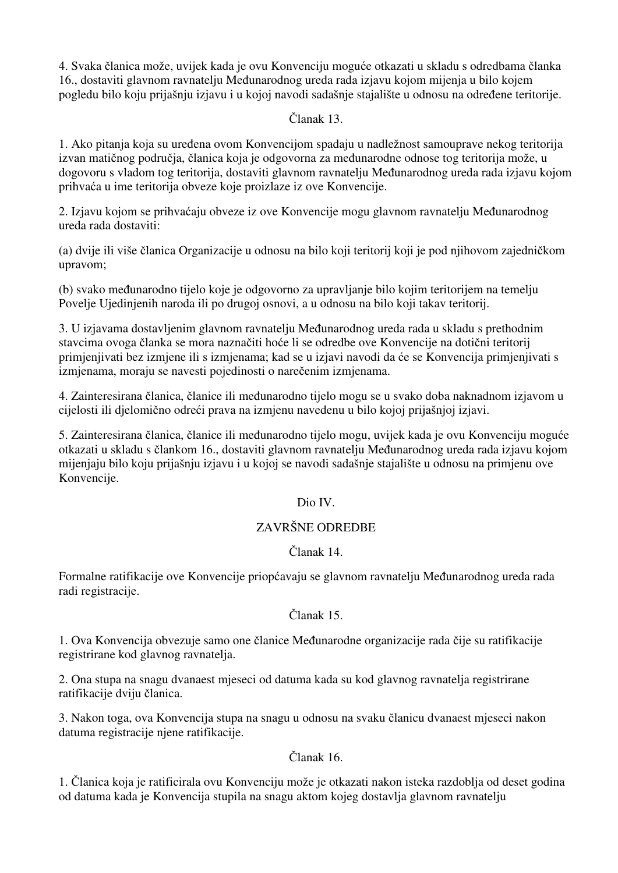4. Svaka članica može, uvijek kada je ovu Konvenciju moguće otkazati u skladu s odredbama članka 16., dostaviti glavnom ravnatelju Međunarodnog ureda rada izjavu kojom mijenja u bilo kojem pogledu bilo koju prijašnju izjavu i u kojoj navodi sadašnje stajalište u odnosu na određene teritorije.

## Članak 13.

1. Ako pitanja koja su uređena ovom Konvencijom spadaju u nadležnost samouprave nekog teritorija izvan matičnog područja, članica koja je odgovorna za međunarodne odnose tog teritorija može, u dogovoru s vladom tog teritorija, dostaviti glavnom ravnatelju Međunarodnog ureda rada izjavu kojom prihvaća u ime teritorija obveze koje proizlaze iz ove Konvencije.

2. Izjavu kojom se prihvaćaju obveze iz ove Konvencije mogu glavnom ravnatelju Međunarodnog ureda rada dostaviti:

(a) dvije ili više članica Organizacije u odnosu na bilo koji teritorij koji je pod njihovom zajedničkom upravom;

(b) svako međunarodno tijelo koje je odgovorno za upravljanje bilo kojim teritorijem na temelju Povelje Ujedinjenih naroda ili po drugoj osnovi, a u odnosu na bilo koji takav teritorij.

3. U izjavama dostavljenim glavnom ravnatelju Međunarodnog ureda rada u skladu s prethodnim stavcima ovoga članka se mora naznačiti hoće li se odredbe ove Konvencije na dotični teritorij primjenjivati bez izmjene ili s izmjenama; kad se u izjavi navodi da će se Konvencija primjenjivati s izmjenama, moraju se navesti pojedinosti o narečenim izmjenama.

4. Zainteresirana članica, članice ili međunarodno tijelo mogu se u svako doba naknadnom izjavom u cijelosti ili djelomično odreći prava na izmjenu navedenu u bilo kojoj prijašnjoj izjavi.

5. Zainteresirana članica, članice ili međunarodno tijelo mogu, uvijek kada je ovu Konvenciju moguće otkazati u skladu s člankom 16., dostaviti glavnom ravnatelju Međunarodnog ureda rada izjavu kojom mijenjaju bilo koju prijašnju izjavu i u kojoj se navodi sadašnje stajalište u odnosu na primjenu ove Konvencije.

# Dio IV.

## ZAVRŠNE ODREDBE

## Članak 14.

Formalne ratifikacije ove Konvencije priopćavaju se glavnom ravnatelju Međunarodnog ureda rada radi registracije.

## Članak 15.

1. Ova Konvencija obvezuje samo one članice Međunarodne organizacije rada čije su ratifikacije registrirane kod glavnog ravnatelja.

2. Ona stupa na snagu dvanaest mjeseci od datuma kada su kod glavnog ravnatelja registrirane ratifikacije dviju članica.

3. Nakon toga, ova Konvencija stupa na snagu u odnosu na svaku članicu dvanaest mjeseci nakon datuma registracije njene ratifikacije.

## Članak 16.

1. Članica koja je ratificirala ovu Konvenciju može je otkazati nakon isteka razdoblja od deset godina od datuma kada je Konvencija stupila na snagu aktom kojeg dostavlja glavnom ravnatelju